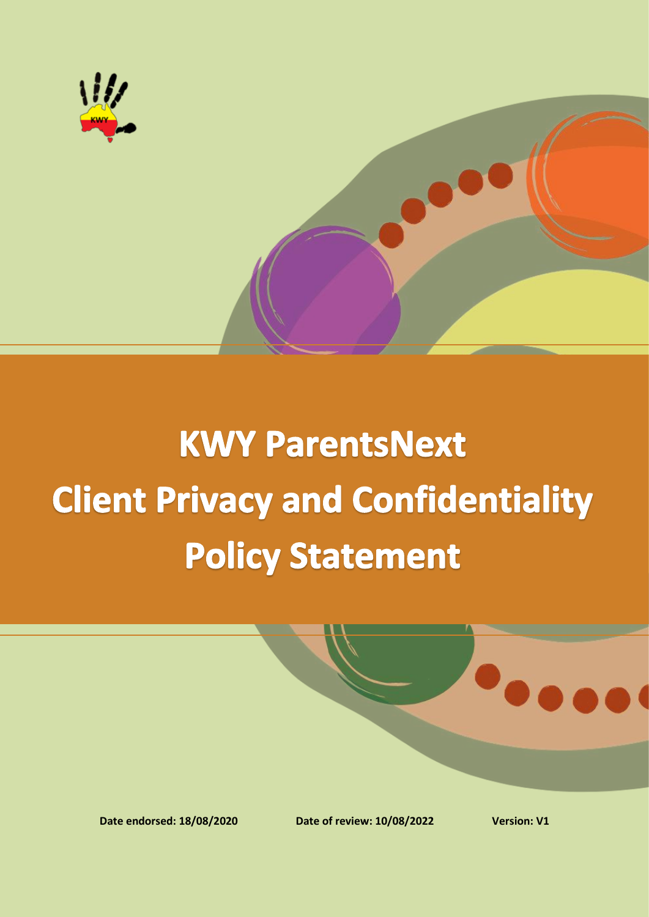

# **KWY ParentsNext Client Privacy and Confidentiality Policy Statement**

**Date endorsed: 18/08/2020 Date of review: 10/08/2022 Version: V1**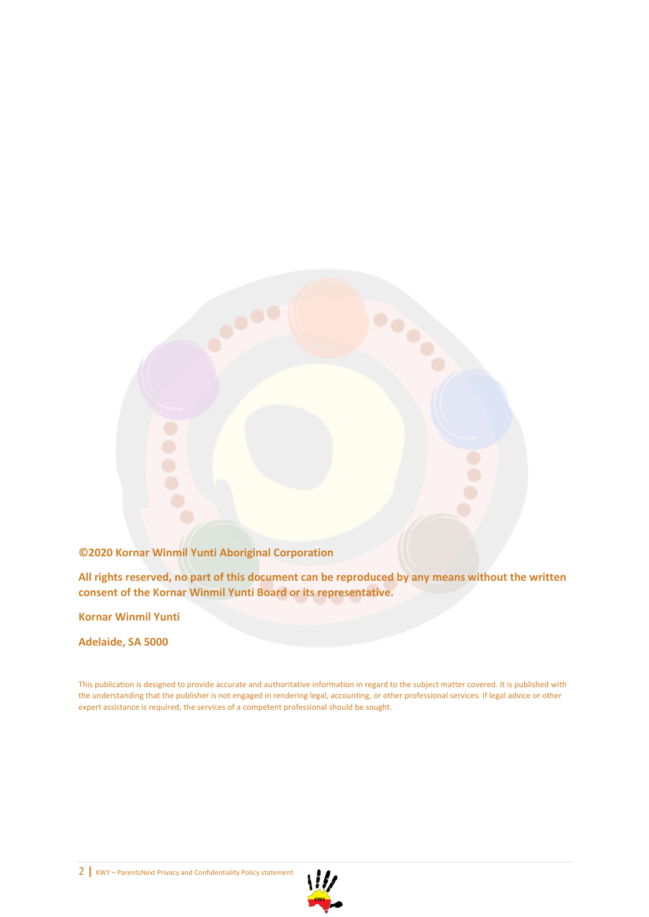

**All rights reserved, no part of this document can be reproduced by any means without the written consent of the Kornar Winmil Yunti Board or its representative.** 

**Kornar Winmil Yunti**

**Adelaide, SA 5000**

This publication is designed to provide accurate and authoritative information in regard to the subject matter covered. It is published with the understanding that the publisher is not engaged in rendering legal, accounting, or other professional services. If legal advice or other expert assistance is required, the services of a competent professional should be sought.



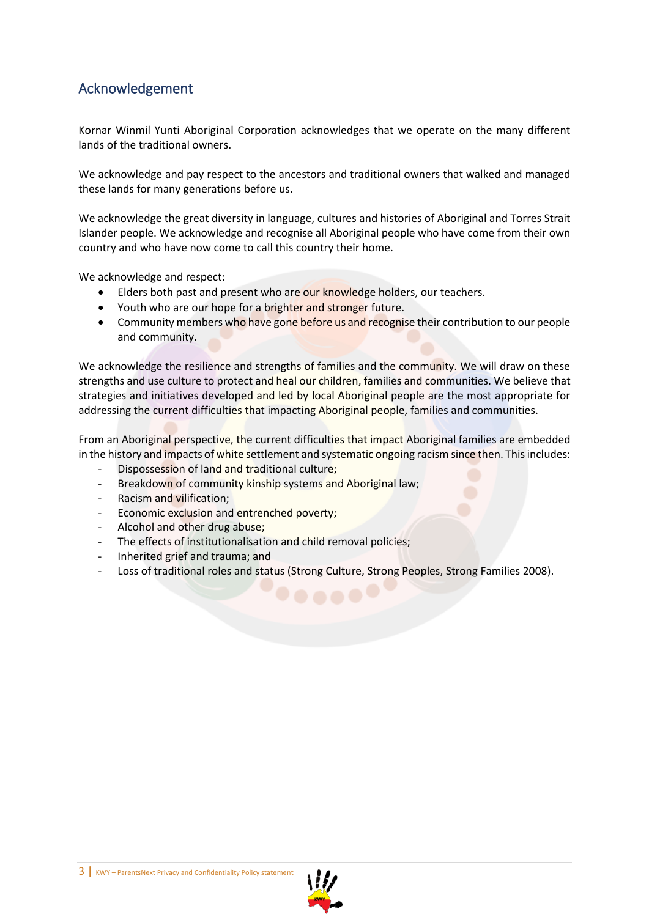### <span id="page-2-0"></span>Acknowledgement

Kornar Winmil Yunti Aboriginal Corporation acknowledges that we operate on the many different lands of the traditional owners.

We acknowledge and pay respect to the ancestors and traditional owners that walked and managed these lands for many generations before us.

We acknowledge the great diversity in language, cultures and histories of Aboriginal and Torres Strait Islander people. We acknowledge and recognise all Aboriginal people who have come from their own country and who have now come to call this country their home.

We acknowledge and respect:

- Elders both past and present who are our knowledge holders, our teachers.
- Youth who are our hope for a brighter and stronger future.
- Community members who have gone before us and recognise their contribution to our people and community.

We acknowledge the resilience and strengths of families and the community. We will draw on these strengths and use culture to protect and heal our children, families and communities. We believe that strategies and initiatives developed and led by local Aboriginal people are the most appropriate for addressing the current difficulties that impacting Aboriginal people, families and communities.

From an Aboriginal perspective, the current difficulties that impact Aboriginal families are embedded in the history and impacts of white settlement and systematic ongoing racism since then. This includes:

- Dispossession of land and traditional culture;
- Breakdown of community kinship systems and Aboriginal law;
- Racism and vilification:
- Economic exclusion and entrenched poverty;
- Alcohol and other drug abuse;
- The effects of institutionalisation and child removal policies;
- Inherited grief and trauma; and
- Loss of traditional roles and status (Strong Culture, Strong Peoples, Strong Families 2008).



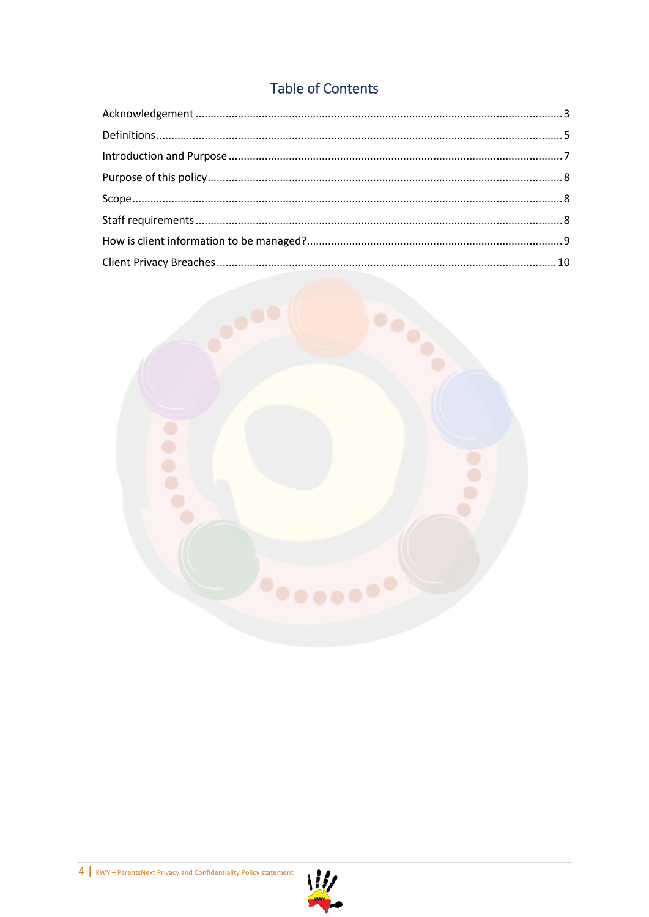## **Table of Contents**



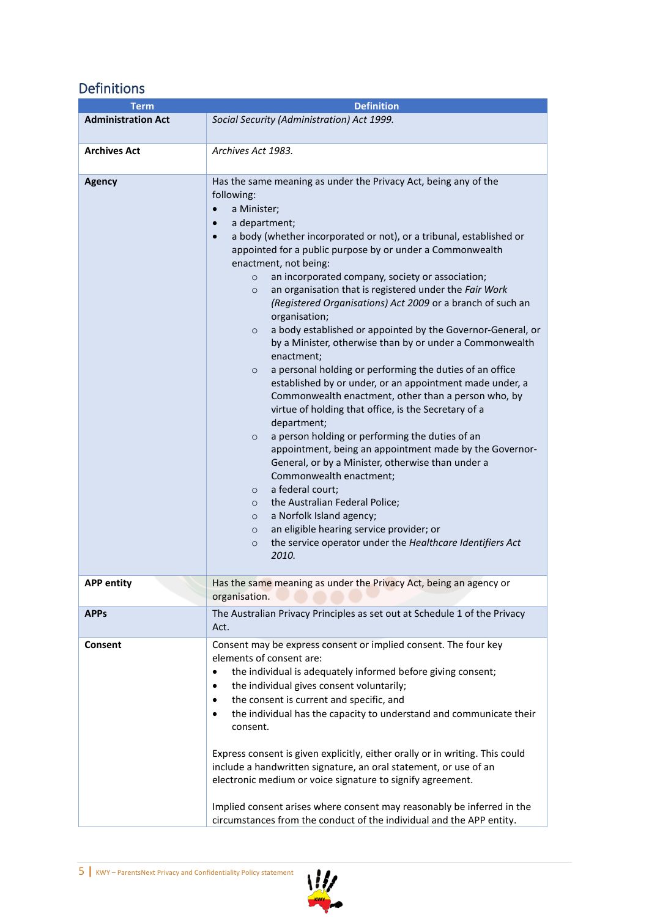# <span id="page-4-0"></span>Definitions

| <b>Term</b>               | <b>Definition</b>                                                                                                                                                                                                                                                                                                                                                                                                                                                                                                                                                                                                                                                                                                                                                                                                                                                                                                                                                                                                                                                                                                                                                                                                                                                                                                                                                                                                             |  |  |
|---------------------------|-------------------------------------------------------------------------------------------------------------------------------------------------------------------------------------------------------------------------------------------------------------------------------------------------------------------------------------------------------------------------------------------------------------------------------------------------------------------------------------------------------------------------------------------------------------------------------------------------------------------------------------------------------------------------------------------------------------------------------------------------------------------------------------------------------------------------------------------------------------------------------------------------------------------------------------------------------------------------------------------------------------------------------------------------------------------------------------------------------------------------------------------------------------------------------------------------------------------------------------------------------------------------------------------------------------------------------------------------------------------------------------------------------------------------------|--|--|
| <b>Administration Act</b> | Social Security (Administration) Act 1999.                                                                                                                                                                                                                                                                                                                                                                                                                                                                                                                                                                                                                                                                                                                                                                                                                                                                                                                                                                                                                                                                                                                                                                                                                                                                                                                                                                                    |  |  |
| <b>Archives Act</b>       | Archives Act 1983.                                                                                                                                                                                                                                                                                                                                                                                                                                                                                                                                                                                                                                                                                                                                                                                                                                                                                                                                                                                                                                                                                                                                                                                                                                                                                                                                                                                                            |  |  |
| <b>Agency</b>             | Has the same meaning as under the Privacy Act, being any of the<br>following:<br>a Minister;<br>$\bullet$<br>a department;<br>$\bullet$<br>a body (whether incorporated or not), or a tribunal, established or<br>$\bullet$<br>appointed for a public purpose by or under a Commonwealth<br>enactment, not being:<br>an incorporated company, society or association;<br>$\circ$<br>an organisation that is registered under the Fair Work<br>$\circ$<br>(Registered Organisations) Act 2009 or a branch of such an<br>organisation;<br>a body established or appointed by the Governor-General, or<br>$\circ$<br>by a Minister, otherwise than by or under a Commonwealth<br>enactment;<br>a personal holding or performing the duties of an office<br>$\circ$<br>established by or under, or an appointment made under, a<br>Commonwealth enactment, other than a person who, by<br>virtue of holding that office, is the Secretary of a<br>department;<br>a person holding or performing the duties of an<br>$\circ$<br>appointment, being an appointment made by the Governor-<br>General, or by a Minister, otherwise than under a<br>Commonwealth enactment;<br>a federal court;<br>$\circ$<br>the Australian Federal Police;<br>$\circ$<br>a Norfolk Island agency;<br>$\circ$<br>an eligible hearing service provider; or<br>$\circ$<br>the service operator under the Healthcare Identifiers Act<br>$\circ$<br>2010. |  |  |
| APP entity                | Has the same meaning as under the Privacy Act, being an agency or<br>organisation.                                                                                                                                                                                                                                                                                                                                                                                                                                                                                                                                                                                                                                                                                                                                                                                                                                                                                                                                                                                                                                                                                                                                                                                                                                                                                                                                            |  |  |
| <b>APPs</b>               | The Australian Privacy Principles as set out at Schedule 1 of the Privacy<br>Act.                                                                                                                                                                                                                                                                                                                                                                                                                                                                                                                                                                                                                                                                                                                                                                                                                                                                                                                                                                                                                                                                                                                                                                                                                                                                                                                                             |  |  |
| Consent                   | Consent may be express consent or implied consent. The four key<br>elements of consent are:<br>the individual is adequately informed before giving consent;<br>$\bullet$<br>the individual gives consent voluntarily;<br>$\bullet$<br>the consent is current and specific, and<br>$\bullet$<br>the individual has the capacity to understand and communicate their<br>$\bullet$<br>consent.<br>Express consent is given explicitly, either orally or in writing. This could<br>include a handwritten signature, an oral statement, or use of an<br>electronic medium or voice signature to signify agreement.<br>Implied consent arises where consent may reasonably be inferred in the<br>circumstances from the conduct of the individual and the APP entity.                                                                                                                                                                                                                                                                                                                                                                                                                                                                                                                                                                                                                                                               |  |  |

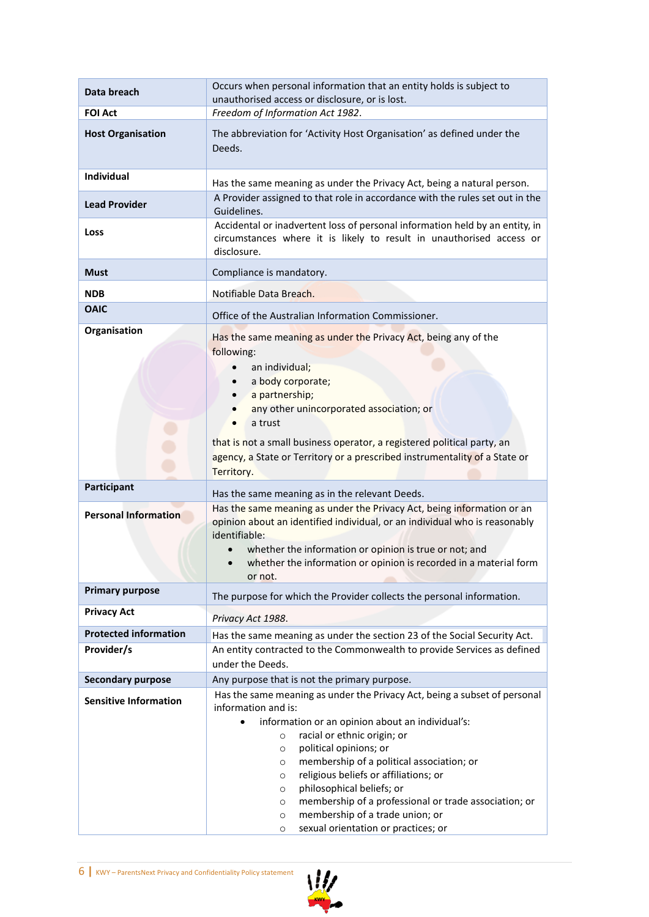| Data breach                  | Occurs when personal information that an entity holds is subject to<br>unauthorised access or disclosure, or is lost.                                                                                                                                                                                                                                                                                                            |  |  |
|------------------------------|----------------------------------------------------------------------------------------------------------------------------------------------------------------------------------------------------------------------------------------------------------------------------------------------------------------------------------------------------------------------------------------------------------------------------------|--|--|
| <b>FOI Act</b>               | Freedom of Information Act 1982.                                                                                                                                                                                                                                                                                                                                                                                                 |  |  |
| <b>Host Organisation</b>     | The abbreviation for 'Activity Host Organisation' as defined under the<br>Deeds.                                                                                                                                                                                                                                                                                                                                                 |  |  |
| Individual                   | Has the same meaning as under the Privacy Act, being a natural person.                                                                                                                                                                                                                                                                                                                                                           |  |  |
| <b>Lead Provider</b>         | A Provider assigned to that role in accordance with the rules set out in the<br>Guidelines.                                                                                                                                                                                                                                                                                                                                      |  |  |
| Loss                         | Accidental or inadvertent loss of personal information held by an entity, in<br>circumstances where it is likely to result in unauthorised access or<br>disclosure.                                                                                                                                                                                                                                                              |  |  |
| <b>Must</b>                  | Compliance is mandatory.                                                                                                                                                                                                                                                                                                                                                                                                         |  |  |
| <b>NDB</b>                   | Notifiable Data Breach.                                                                                                                                                                                                                                                                                                                                                                                                          |  |  |
| <b>OAIC</b>                  | Office of the Australian Information Commissioner.                                                                                                                                                                                                                                                                                                                                                                               |  |  |
| Organisation                 | Has the same meaning as under the Privacy Act, being any of the<br>following:<br>an individual;<br>a body corporate;<br>a partnership;<br>any other unincorporated association; or                                                                                                                                                                                                                                               |  |  |
|                              | a trust<br>that is not a small business operator, a registered political party, an<br>agency, a State or Territory or a prescribed instrumentality of a State or<br>Territory.                                                                                                                                                                                                                                                   |  |  |
| Participant                  | Has the same meaning as in the relevant Deeds.                                                                                                                                                                                                                                                                                                                                                                                   |  |  |
| <b>Personal Information</b>  | Has the same meaning as under the Privacy Act, being information or an<br>opinion about an identified individual, or an individual who is reasonably<br>identifiable:<br>whether the information or opinion is true or not; and<br>whether the information or opinion is recorded in a material form                                                                                                                             |  |  |
| <b>Primary purpose</b>       | or not.                                                                                                                                                                                                                                                                                                                                                                                                                          |  |  |
| <b>Privacy Act</b>           | The purpose for which the Provider collects the personal information.                                                                                                                                                                                                                                                                                                                                                            |  |  |
| <b>Protected information</b> | Privacy Act 1988.                                                                                                                                                                                                                                                                                                                                                                                                                |  |  |
| Provider/s                   | Has the same meaning as under the section 23 of the Social Security Act.<br>An entity contracted to the Commonwealth to provide Services as defined<br>under the Deeds.                                                                                                                                                                                                                                                          |  |  |
| <b>Secondary purpose</b>     | Any purpose that is not the primary purpose.                                                                                                                                                                                                                                                                                                                                                                                     |  |  |
| <b>Sensitive Information</b> | Has the same meaning as under the Privacy Act, being a subset of personal<br>information and is:                                                                                                                                                                                                                                                                                                                                 |  |  |
|                              | information or an opinion about an individual's:<br>$\bullet$<br>racial or ethnic origin; or<br>O<br>political opinions; or<br>$\circ$<br>membership of a political association; or<br>O<br>religious beliefs or affiliations; or<br>O<br>philosophical beliefs; or<br>O<br>membership of a professional or trade association; or<br>O<br>membership of a trade union; or<br>$\circ$<br>sexual orientation or practices; or<br>O |  |  |

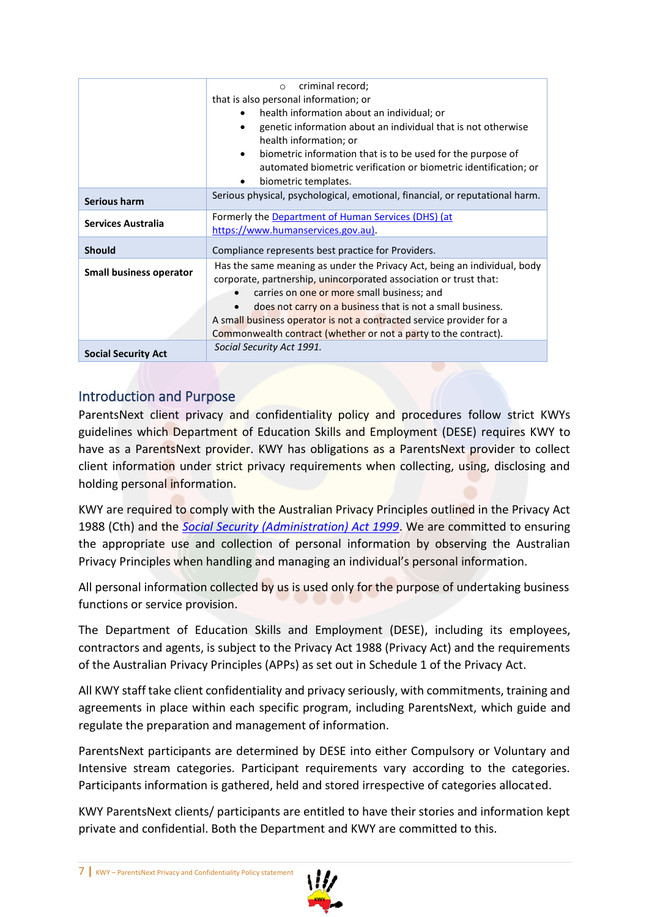|                                | criminal record;<br>$\circ$                                                                                                                                                                                                                                                                                                                                                                          |  |  |  |  |
|--------------------------------|------------------------------------------------------------------------------------------------------------------------------------------------------------------------------------------------------------------------------------------------------------------------------------------------------------------------------------------------------------------------------------------------------|--|--|--|--|
|                                | that is also personal information; or                                                                                                                                                                                                                                                                                                                                                                |  |  |  |  |
|                                | health information about an individual; or                                                                                                                                                                                                                                                                                                                                                           |  |  |  |  |
|                                | genetic information about an individual that is not otherwise<br>health information; or                                                                                                                                                                                                                                                                                                              |  |  |  |  |
|                                | biometric information that is to be used for the purpose of<br>٠<br>automated biometric verification or biometric identification; or<br>biometric templates.                                                                                                                                                                                                                                         |  |  |  |  |
| <b>Serious harm</b>            | Serious physical, psychological, emotional, financial, or reputational harm.                                                                                                                                                                                                                                                                                                                         |  |  |  |  |
| <b>Services Australia</b>      | Formerly the Department of Human Services (DHS) (at<br>https://www.humanservices.gov.au).                                                                                                                                                                                                                                                                                                            |  |  |  |  |
| <b>Should</b>                  | Compliance represents best practice for Providers.                                                                                                                                                                                                                                                                                                                                                   |  |  |  |  |
| <b>Small business operator</b> | Has the same meaning as under the Privacy Act, being an individual, body<br>corporate, partnership, unincorporated association or trust that:<br>carries on one or more small business; and<br>does not carry on a business that is not a small business.<br>A small business operator is not a contracted service provider for a<br>Commonwealth contract (whether or not a party to the contract). |  |  |  |  |
| <b>Social Security Act</b>     | Social Security Act 1991.                                                                                                                                                                                                                                                                                                                                                                            |  |  |  |  |

#### <span id="page-6-0"></span>Introduction and Purpose

ParentsNext client privacy and confidentiality policy and procedures follow strict KWYs guidelines which Department of Education Skills and Employment (DESE) requires KWY to have as a ParentsNext provider. KWY has obligations as a ParentsNext provider to collect client information under strict privacy requirements when collecting, using, disclosing and holding personal information.

KWY are required to comply with the Australian Privacy Principles outlined in the Privacy Act 1988 (Cth) and the *[Social Security \(Administration\) Act 1999](https://www.legislation.gov.au/Series/C2004A00580)*. We are committed to ensuring the appropriate use and collection of personal information by observing the Australian Privacy Principles when handling and managing an individual's personal information.

All personal information collected by us is used only for the purpose of undertaking business functions or service provision.

The Department of Education Skills and Employment (DESE), including its employees, contractors and agents, is subject to the Privacy Act 1988 (Privacy Act) and the requirements of the Australian Privacy Principles (APPs) as set out in Schedule 1 of the Privacy Act.

All KWY staff take client confidentiality and privacy seriously, with commitments, training and agreements in place within each specific program, including ParentsNext, which guide and regulate the preparation and management of information.

ParentsNext participants are determined by DESE into either Compulsory or Voluntary and Intensive stream categories. Participant requirements vary according to the categories. Participants information is gathered, held and stored irrespective of categories allocated.

KWY ParentsNext clients/ participants are entitled to have their stories and information kept private and confidential. Both the Department and KWY are committed to this.

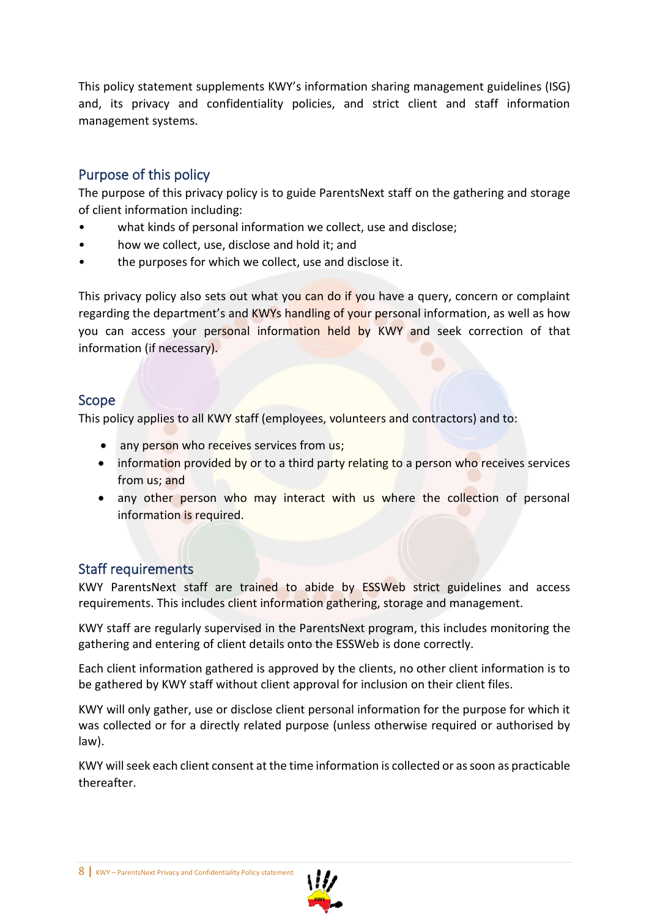This policy statement supplements KWY's information sharing management guidelines (ISG) and, its privacy and confidentiality policies, and strict client and staff information management systems.

#### <span id="page-7-0"></span>Purpose of this policy

The purpose of this privacy policy is to guide ParentsNext staff on the gathering and storage of client information including:

- what kinds of personal information we collect, use and disclose;
- how we collect, use, disclose and hold it; and
- the purposes for which we collect, use and disclose it.

This privacy policy also sets out what you can do if you have a query, concern or complaint regarding the department's and KWYs handling of your personal information, as well as how you can access your personal information held by KWY and seek correction of that information (if necessary).

#### <span id="page-7-1"></span>Scope

This policy applies to all KWY staff (employees, volunteers and contractors) and to:

- any person who receives services from us;
- information provided by or to a third party relating to a person who receives services from us; and
- any other person who may interact with us where the collection of personal information is required.

#### <span id="page-7-2"></span>Staff requirements

KWY ParentsNext staff are trained to abide by ESSWeb strict guidelines and access requirements. This includes client information gathering, storage and management.

KWY staff are regularly supervised in the ParentsNext program, this includes monitoring the gathering and entering of client details onto the ESSWeb is done correctly.

Each client information gathered is approved by the clients, no other client information is to be gathered by KWY staff without client approval for inclusion on their client files.

KWY will only gather, use or disclose client personal information for the purpose for which it was collected or for a directly related purpose (unless otherwise required or authorised by law).

KWY will seek each client consent at the time information is collected or as soon as practicable thereafter.

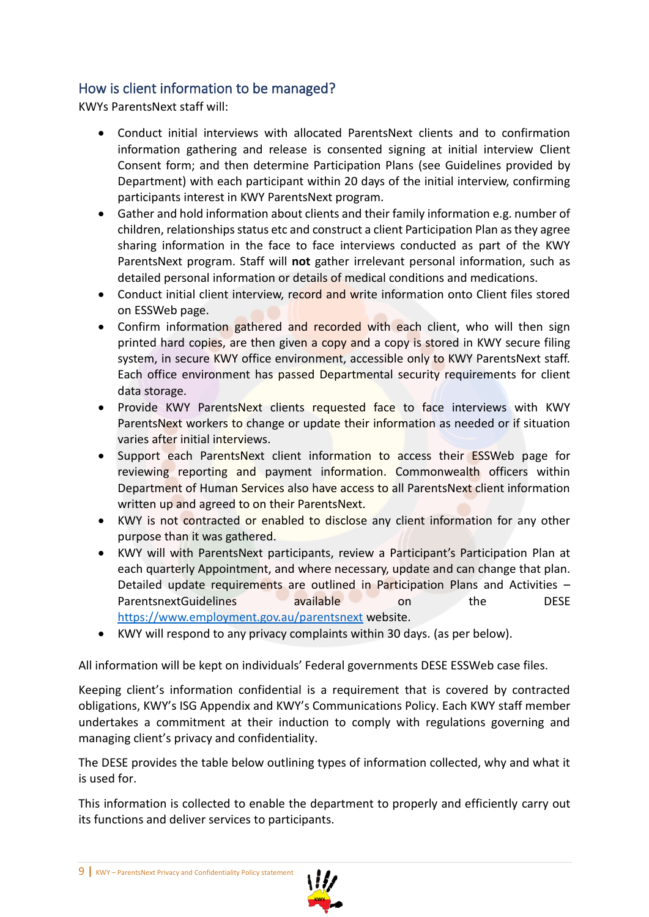#### <span id="page-8-0"></span>How is client information to be managed?

KWYs ParentsNext staff will:

- Conduct initial interviews with allocated ParentsNext clients and to confirmation information gathering and release is consented signing at initial interview Client Consent form; and then determine Participation Plans (see Guidelines provided by Department) with each participant within 20 days of the initial interview, confirming participants interest in KWY ParentsNext program.
- Gather and hold information about clients and their family information e.g. number of children, relationships status etc and construct a client Participation Plan as they agree sharing information in the face to face interviews conducted as part of the KWY ParentsNext program. Staff will **not** gather irrelevant personal information, such as detailed personal information or details of medical conditions and medications.
- Conduct initial client interview, record and write information onto Client files stored on ESSWeb page.
- Confirm information gathered and recorded with each client, who will then sign printed hard copies, are then given a copy and a copy is stored in KWY secure filing system, in secure KWY office environment, accessible only to KWY ParentsNext staff. Each office environment has passed Departmental security requirements for client data storage.
- Provide KWY ParentsNext clients requested face to face interviews with KWY ParentsNext workers to change or update their information as needed or if situation varies after initial interviews.
- Support each ParentsNext client information to access their ESSWeb page for reviewing reporting and payment information. Commonwealth officers within Department of Human Services also have access to all ParentsNext client information written up and agreed to on their ParentsNext.
- KWY is not contracted or enabled to disclose any client information for any other purpose than it was gathered.
- KWY will with ParentsNext participants, review a Participant's Participation Plan at each quarterly Appointment, and where necessary, update and can change that plan. Detailed update requirements are outlined in Participation Plans and Activities – ParentsnextGuidelines available on the DESE <https://www.employment.gov.au/parentsnext> website.
- KWY will respond to any privacy complaints within 30 days. (as per below).

All information will be kept on individuals' Federal governments DESE ESSWeb case files.

Keeping client's information confidential is a requirement that is covered by contracted obligations, KWY's ISG Appendix and KWY's Communications Policy. Each KWY staff member undertakes a commitment at their induction to comply with regulations governing and managing client's privacy and confidentiality.

The DESE provides the table below outlining types of information collected, why and what it is used for.

This information is collected to enable the department to properly and efficiently carry out its functions and deliver services to participants.

<sup>9</sup> **|** KWY – ParentsNext Privacy and Confidentiality Policy statement

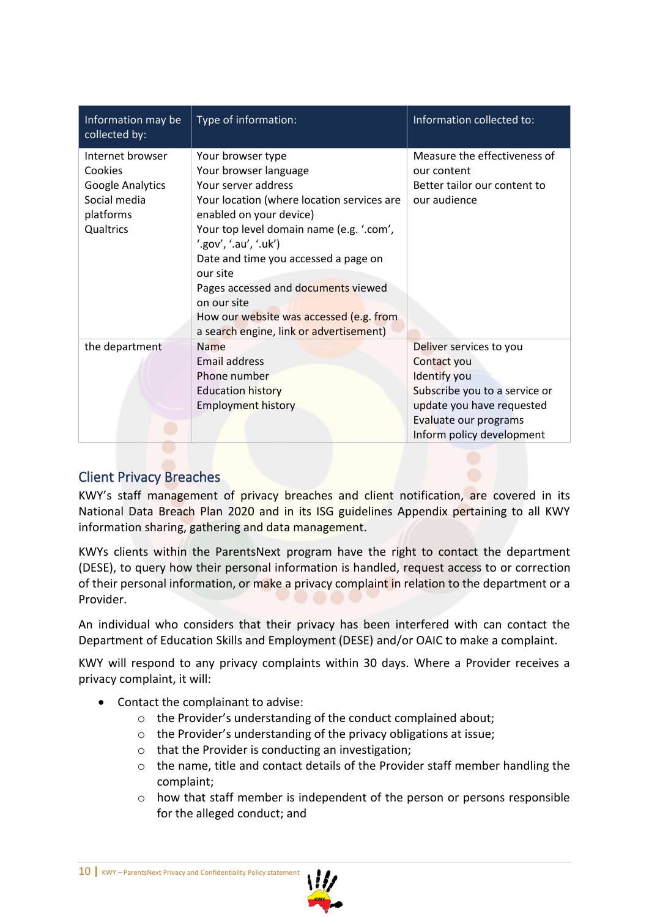| Information may be<br>collected by:                                                       | Type of information:                                                                                                                                                                                                                                                                                                                                                                                            | Information collected to:                                                                                                                                                  |
|-------------------------------------------------------------------------------------------|-----------------------------------------------------------------------------------------------------------------------------------------------------------------------------------------------------------------------------------------------------------------------------------------------------------------------------------------------------------------------------------------------------------------|----------------------------------------------------------------------------------------------------------------------------------------------------------------------------|
| Internet browser<br>Cookies<br>Google Analytics<br>Social media<br>platforms<br>Qualtrics | Your browser type<br>Your browser language<br>Your server address<br>Your location (where location services are<br>enabled on your device)<br>Your top level domain name (e.g. '.com',<br>'.gov', '.au', '.uk')<br>Date and time you accessed a page on<br>our site<br>Pages accessed and documents viewed<br>on our site<br>How our website was accessed (e.g. from<br>a search engine, link or advertisement) | Measure the effectiveness of<br>our content<br>Better tailor our content to<br>our audience                                                                                |
| the department                                                                            | <b>Name</b><br>Email address<br>Phone number<br><b>Education history</b><br><b>Employment history</b>                                                                                                                                                                                                                                                                                                           | Deliver services to you<br>Contact you<br>Identify you<br>Subscribe you to a service or<br>update you have requested<br>Evaluate our programs<br>Inform policy development |

#### <span id="page-9-0"></span>Client Privacy Breaches

KWY's staff management of privacy breaches and client notification, are covered in its National Data Breach Plan 2020 and in its ISG guidelines Appendix pertaining to all KWY information sharing, gathering and data management.

KWYs clients within the ParentsNext program have the right to contact the department (DESE), to query how their personal information is handled, request access to or correction of their personal information, or make a privacy complaint in relation to the department or a Provider.

An individual who considers that their privacy has been interfered with can contact the Department of Education Skills and Employment (DESE) and/or OAIC to make a complaint.

KWY will respond to any privacy complaints within 30 days. Where a Provider receives a privacy complaint, it will:

- Contact the complainant to advise:
	- o the Provider's understanding of the conduct complained about;
	- o the Provider's understanding of the privacy obligations at issue;
	- o that the Provider is conducting an investigation;
	- o the name, title and contact details of the Provider staff member handling the complaint;
	- $\circ$  how that staff member is independent of the person or persons responsible for the alleged conduct; and